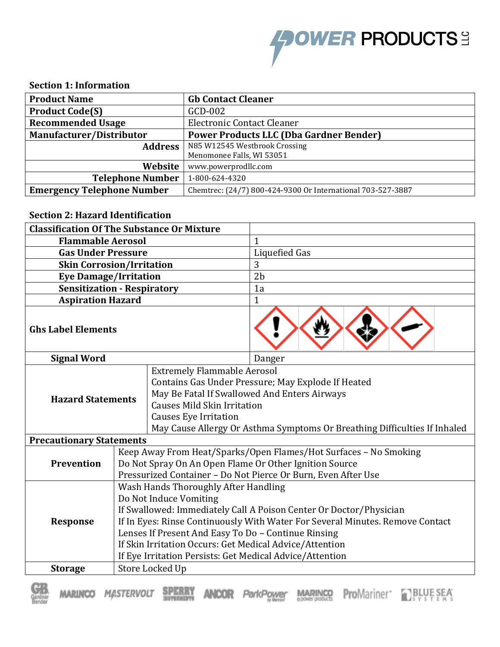

## **Section 1: Information**

| <b>Product Name</b>               | <b>Gb Contact Cleaner</b>                                   |
|-----------------------------------|-------------------------------------------------------------|
| <b>Product Code(S)</b>            | GCD-002                                                     |
| <b>Recommended Usage</b>          | <b>Electronic Contact Cleaner</b>                           |
| Manufacturer/Distributor          | <b>Power Products LLC (Dba Gardner Bender)</b>              |
| <b>Address</b>                    | N85 W12545 Westbrook Crossing                               |
|                                   | Menomonee Falls, WI 53051                                   |
| Website                           | www.powerprodllc.com                                        |
| <b>Telephone Number</b>           | 1-800-624-4320                                              |
| <b>Emergency Telephone Number</b> | Chemtrec: (24/7) 800-424-9300 Or International 703-527-3887 |

## **Section 2: Hazard Identification**

| <b>Classification Of The Substance Or Mixture</b>                                                                                                                                                                       |                                                                                                                                                                                                                                                                                                                                                                                                     |  |                                                                                                                                                                                                     |
|-------------------------------------------------------------------------------------------------------------------------------------------------------------------------------------------------------------------------|-----------------------------------------------------------------------------------------------------------------------------------------------------------------------------------------------------------------------------------------------------------------------------------------------------------------------------------------------------------------------------------------------------|--|-----------------------------------------------------------------------------------------------------------------------------------------------------------------------------------------------------|
| <b>Flammable Aerosol</b>                                                                                                                                                                                                |                                                                                                                                                                                                                                                                                                                                                                                                     |  | $\mathbf{1}$                                                                                                                                                                                        |
| <b>Gas Under Pressure</b>                                                                                                                                                                                               |                                                                                                                                                                                                                                                                                                                                                                                                     |  | <b>Liquefied Gas</b>                                                                                                                                                                                |
| <b>Skin Corrosion/Irritation</b>                                                                                                                                                                                        |                                                                                                                                                                                                                                                                                                                                                                                                     |  | 3                                                                                                                                                                                                   |
| <b>Eye Damage/Irritation</b>                                                                                                                                                                                            |                                                                                                                                                                                                                                                                                                                                                                                                     |  | 2 <sub>b</sub>                                                                                                                                                                                      |
| <b>Sensitization - Respiratory</b>                                                                                                                                                                                      |                                                                                                                                                                                                                                                                                                                                                                                                     |  | 1a                                                                                                                                                                                                  |
| <b>Aspiration Hazard</b>                                                                                                                                                                                                |                                                                                                                                                                                                                                                                                                                                                                                                     |  | $\mathbf{1}$                                                                                                                                                                                        |
| <b>Ghs Label Elements</b>                                                                                                                                                                                               |                                                                                                                                                                                                                                                                                                                                                                                                     |  |                                                                                                                                                                                                     |
| <b>Signal Word</b>                                                                                                                                                                                                      |                                                                                                                                                                                                                                                                                                                                                                                                     |  | Danger                                                                                                                                                                                              |
| <b>Extremely Flammable Aerosol</b><br>May Be Fatal If Swallowed And Enters Airways<br><b>Hazard Statements</b><br><b>Causes Mild Skin Irritation</b><br><b>Causes Eye Irritation</b><br><b>Precautionary Statements</b> |                                                                                                                                                                                                                                                                                                                                                                                                     |  | Contains Gas Under Pressure; May Explode If Heated<br>May Cause Allergy Or Asthma Symptoms Or Breathing Difficulties If Inhaled<br>Keep Away From Heat/Sparks/Open Flames/Hot Surfaces - No Smoking |
| <b>Prevention</b>                                                                                                                                                                                                       | Do Not Spray On An Open Flame Or Other Ignition Source<br>Pressurized Container - Do Not Pierce Or Burn, Even After Use                                                                                                                                                                                                                                                                             |  |                                                                                                                                                                                                     |
| <b>Response</b>                                                                                                                                                                                                         | Wash Hands Thoroughly After Handling<br>Do Not Induce Vomiting<br>If Swallowed: Immediately Call A Poison Center Or Doctor/Physician<br>If In Eyes: Rinse Continuously With Water For Several Minutes. Remove Contact<br>Lenses If Present And Easy To Do - Continue Rinsing<br>If Skin Irritation Occurs: Get Medical Advice/Attention<br>If Eye Irritation Persists: Get Medical Advice/Attention |  |                                                                                                                                                                                                     |
| <b>Storage</b>                                                                                                                                                                                                          | Store Locked Up                                                                                                                                                                                                                                                                                                                                                                                     |  |                                                                                                                                                                                                     |

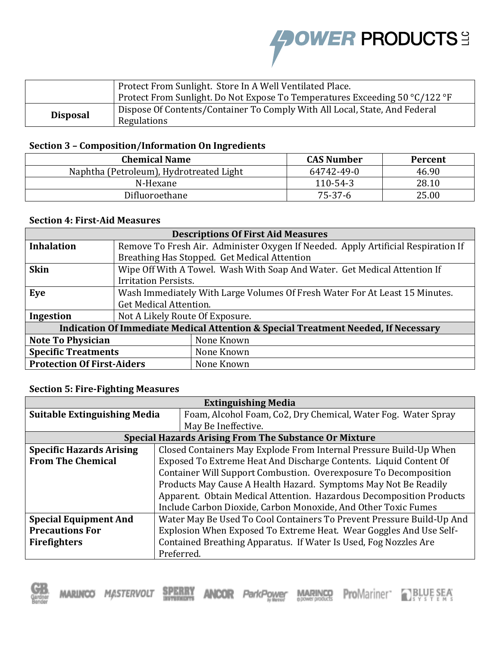**AOWER PRODUCTS:** 

|                 | Protect From Sunlight. Store In A Well Ventilated Place.<br>Protect From Sunlight. Do Not Expose To Temperatures Exceeding 50 °C/122 °F |
|-----------------|-----------------------------------------------------------------------------------------------------------------------------------------|
| <b>Disposal</b> | Dispose Of Contents/Container To Comply With All Local, State, And Federal<br>Regulations                                               |

# **Section 3 – Composition/Information On Ingredients**

| <b>Chemical Name</b>                    | <b>CAS Number</b> | <b>Percent</b> |
|-----------------------------------------|-------------------|----------------|
| Naphtha (Petroleum), Hydrotreated Light | 64742-49-0        | 46.90          |
| N-Hexane                                | 110-54-3          | 28.10          |
| Difluoroethane                          | 75-37-6           | 25.00          |

## **Section 4: First-Aid Measures**

| <b>Descriptions Of First Aid Measures</b>                                          |                                                                                   |                                                                           |  |
|------------------------------------------------------------------------------------|-----------------------------------------------------------------------------------|---------------------------------------------------------------------------|--|
| <b>Inhalation</b>                                                                  | Remove To Fresh Air. Administer Oxygen If Needed. Apply Artificial Respiration If |                                                                           |  |
|                                                                                    | Breathing Has Stopped. Get Medical Attention                                      |                                                                           |  |
| <b>Skin</b>                                                                        |                                                                                   | Wipe Off With A Towel. Wash With Soap And Water. Get Medical Attention If |  |
|                                                                                    | <b>Irritation Persists.</b>                                                       |                                                                           |  |
| Eye                                                                                | Wash Immediately With Large Volumes Of Fresh Water For At Least 15 Minutes.       |                                                                           |  |
|                                                                                    | Get Medical Attention.                                                            |                                                                           |  |
| Ingestion                                                                          | Not A Likely Route Of Exposure.                                                   |                                                                           |  |
| Indication Of Immediate Medical Attention & Special Treatment Needed, If Necessary |                                                                                   |                                                                           |  |
| <b>Note To Physician</b>                                                           | None Known                                                                        |                                                                           |  |
| <b>Specific Treatments</b>                                                         | None Known                                                                        |                                                                           |  |
| <b>Protection Of First-Aiders</b>                                                  | None Known                                                                        |                                                                           |  |

# **Section 5: Fire-Fighting Measures**

| <b>Extinguishing Media</b>          |                                                                       |                                                                    |  |
|-------------------------------------|-----------------------------------------------------------------------|--------------------------------------------------------------------|--|
| <b>Suitable Extinguishing Media</b> |                                                                       | Foam, Alcohol Foam, Co2, Dry Chemical, Water Fog. Water Spray      |  |
|                                     |                                                                       | May Be Ineffective.                                                |  |
|                                     |                                                                       | <b>Special Hazards Arising From The Substance Or Mixture</b>       |  |
| <b>Specific Hazards Arising</b>     |                                                                       | Closed Containers May Explode From Internal Pressure Build-Up When |  |
| <b>From The Chemical</b>            |                                                                       | Exposed To Extreme Heat And Discharge Contents. Liquid Content Of  |  |
|                                     |                                                                       | Container Will Support Combustion. Overexposure To Decomposition   |  |
|                                     | Products May Cause A Health Hazard. Symptoms May Not Be Readily       |                                                                    |  |
|                                     | Apparent. Obtain Medical Attention. Hazardous Decomposition Products  |                                                                    |  |
|                                     | Include Carbon Dioxide, Carbon Monoxide, And Other Toxic Fumes        |                                                                    |  |
| <b>Special Equipment And</b>        | Water May Be Used To Cool Containers To Prevent Pressure Build-Up And |                                                                    |  |
| <b>Precautions For</b>              | Explosion When Exposed To Extreme Heat. Wear Goggles And Use Self-    |                                                                    |  |
| <b>Firefighters</b>                 | Contained Breathing Apparatus. If Water Is Used, Fog Nozzles Are      |                                                                    |  |
|                                     | Preferred.                                                            |                                                                    |  |

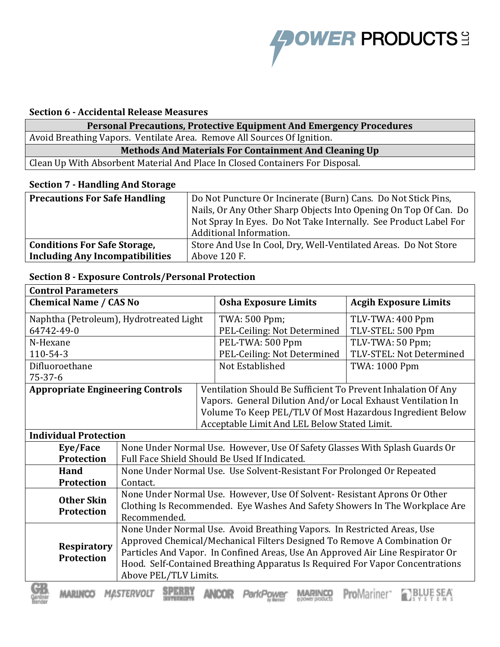

### **Section 6 - Accidental Release Measures**

**Personal Precautions, Protective Equipment And Emergency Procedures** Avoid Breathing Vapors. Ventilate Area. Remove All Sources Of Ignition.

**Methods And Materials For Containment And Cleaning Up**

Clean Up With Absorbent Material And Place In Closed Containers For Disposal.

## **Section 7 - Handling And Storage**

| <b>Precautions For Safe Handling</b>   | Do Not Puncture Or Incinerate (Burn) Cans. Do Not Stick Pins,    |  |
|----------------------------------------|------------------------------------------------------------------|--|
|                                        | Nails, Or Any Other Sharp Objects Into Opening On Top Of Can. Do |  |
|                                        | Not Spray In Eyes. Do Not Take Internally. See Product Label For |  |
|                                        | Additional Information.                                          |  |
| <b>Conditions For Safe Storage,</b>    | Store And Use In Cool, Dry, Well-Ventilated Areas. Do Not Store  |  |
| <b>Including Any Incompatibilities</b> | Above 120 F.                                                     |  |

### **Section 8 - Exposure Controls/Personal Protection**

| <b>Control Parameters</b>                                                                      |                                                                           |               |                                                                                |                              |  |
|------------------------------------------------------------------------------------------------|---------------------------------------------------------------------------|---------------|--------------------------------------------------------------------------------|------------------------------|--|
| <b>Chemical Name / CAS No</b>                                                                  |                                                                           |               | <b>Osha Exposure Limits</b>                                                    | <b>Acgih Exposure Limits</b> |  |
| Naphtha (Petroleum), Hydrotreated Light                                                        |                                                                           | TWA: 500 Ppm; | TLV-TWA: 400 Ppm                                                               |                              |  |
| 64742-49-0                                                                                     |                                                                           |               | PEL-Ceiling: Not Determined                                                    | TLV-STEL: 500 Ppm            |  |
| N-Hexane                                                                                       |                                                                           |               | PEL-TWA: 500 Ppm                                                               | TLV-TWA: 50 Ppm;             |  |
| 110-54-3                                                                                       |                                                                           |               | PEL-Ceiling: Not Determined                                                    | TLV-STEL: Not Determined     |  |
| Difluoroethane                                                                                 |                                                                           |               | Not Established                                                                | TWA: 1000 Ppm                |  |
| $75 - 37 - 6$                                                                                  |                                                                           |               |                                                                                |                              |  |
| <b>Appropriate Engineering Controls</b>                                                        |                                                                           |               | Ventilation Should Be Sufficient To Prevent Inhalation Of Any                  |                              |  |
|                                                                                                |                                                                           |               | Vapors. General Dilution And/or Local Exhaust Ventilation In                   |                              |  |
|                                                                                                |                                                                           |               | Volume To Keep PEL/TLV Of Most Hazardous Ingredient Below                      |                              |  |
|                                                                                                |                                                                           |               | Acceptable Limit And LEL Below Stated Limit.                                   |                              |  |
| <b>Individual Protection</b>                                                                   |                                                                           |               |                                                                                |                              |  |
| Eye/Face                                                                                       |                                                                           |               | None Under Normal Use. However, Use Of Safety Glasses With Splash Guards Or    |                              |  |
| Protection                                                                                     | Full Face Shield Should Be Used If Indicated.                             |               |                                                                                |                              |  |
| Hand                                                                                           |                                                                           |               | None Under Normal Use. Use Solvent-Resistant For Prolonged Or Repeated         |                              |  |
| <b>Protection</b>                                                                              | Contact.                                                                  |               |                                                                                |                              |  |
| <b>Other Skin</b>                                                                              | None Under Normal Use. However, Use Of Solvent- Resistant Aprons Or Other |               |                                                                                |                              |  |
| <b>Protection</b>                                                                              |                                                                           |               | Clothing Is Recommended. Eye Washes And Safety Showers In The Workplace Are    |                              |  |
|                                                                                                | Recommended.                                                              |               |                                                                                |                              |  |
|                                                                                                | None Under Normal Use. Avoid Breathing Vapors. In Restricted Areas, Use   |               |                                                                                |                              |  |
| Approved Chemical/Mechanical Filters Designed To Remove A Combination Or<br><b>Respiratory</b> |                                                                           |               |                                                                                |                              |  |
| <b>Protection</b>                                                                              |                                                                           |               | Particles And Vapor. In Confined Areas, Use An Approved Air Line Respirator Or |                              |  |
|                                                                                                |                                                                           |               | Hood. Self-Contained Breathing Apparatus Is Required For Vapor Concentrations  |                              |  |
|                                                                                                | Above PEL/TLV Limits.                                                     |               |                                                                                |                              |  |
| œ                                                                                              | AT the SUPER-SERVER SERVER AND AN                                         |               |                                                                                |                              |  |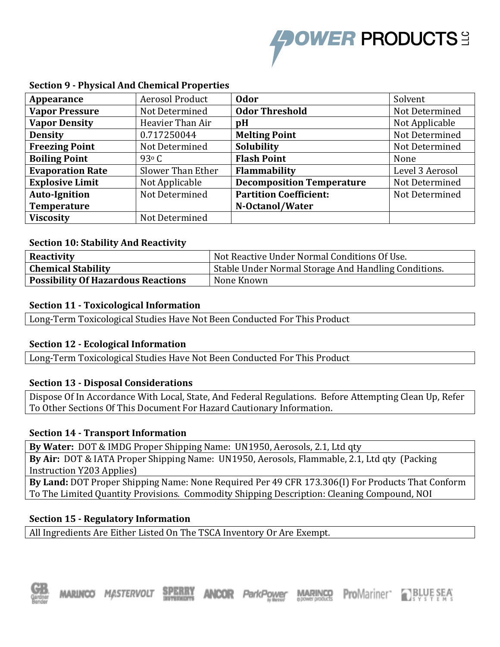

| Appearance              | Aerosol Product   | <b>Odor</b>                      | Solvent         |
|-------------------------|-------------------|----------------------------------|-----------------|
| <b>Vapor Pressure</b>   | Not Determined    | <b>Odor Threshold</b>            | Not Determined  |
| <b>Vapor Density</b>    | Heavier Than Air  | pH                               | Not Applicable  |
| <b>Density</b>          | 0.717250044       | <b>Melting Point</b>             | Not Determined  |
| <b>Freezing Point</b>   | Not Determined    | Solubility                       | Not Determined  |
| <b>Boiling Point</b>    | 93 $\circ$ C      | <b>Flash Point</b>               | None            |
| <b>Evaporation Rate</b> | Slower Than Ether | <b>Flammability</b>              | Level 3 Aerosol |
| <b>Explosive Limit</b>  | Not Applicable    | <b>Decomposition Temperature</b> | Not Determined  |
| <b>Auto-Ignition</b>    | Not Determined    | <b>Partition Coefficient:</b>    | Not Determined  |
| <b>Temperature</b>      |                   | N-Octanol/Water                  |                 |
| <b>Viscosity</b>        | Not Determined    |                                  |                 |

## **Section 9 - Physical And Chemical Properties**

#### **Section 10: Stability And Reactivity**

| <b>Reactivity</b>                         | Not Reactive Under Normal Conditions Of Use.         |
|-------------------------------------------|------------------------------------------------------|
| <b>Chemical Stability</b>                 | Stable Under Normal Storage And Handling Conditions. |
| <b>Possibility Of Hazardous Reactions</b> | None Known                                           |

#### **Section 11 - Toxicological Information**

Long-Term Toxicological Studies Have Not Been Conducted For This Product

### **Section 12 - Ecological Information**

Long-Term Toxicological Studies Have Not Been Conducted For This Product

### **Section 13 - Disposal Considerations**

Dispose Of In Accordance With Local, State, And Federal Regulations. Before Attempting Clean Up, Refer To Other Sections Of This Document For Hazard Cautionary Information.

### **Section 14 - Transport Information**

**By Water:** DOT & IMDG Proper Shipping Name: UN1950, Aerosols, 2.1, Ltd qty

**By Air:** DOT & IATA Proper Shipping Name: UN1950, Aerosols, Flammable, 2.1, Ltd qty (Packing Instruction Y203 Applies)

**By Land:** DOT Proper Shipping Name: None Required Per 49 CFR 173.306(I) For Products That Conform To The Limited Quantity Provisions. Commodity Shipping Description: Cleaning Compound, NOI

### **Section 15 - Regulatory Information**

All Ingredients Are Either Listed On The TSCA Inventory Or Are Exempt.